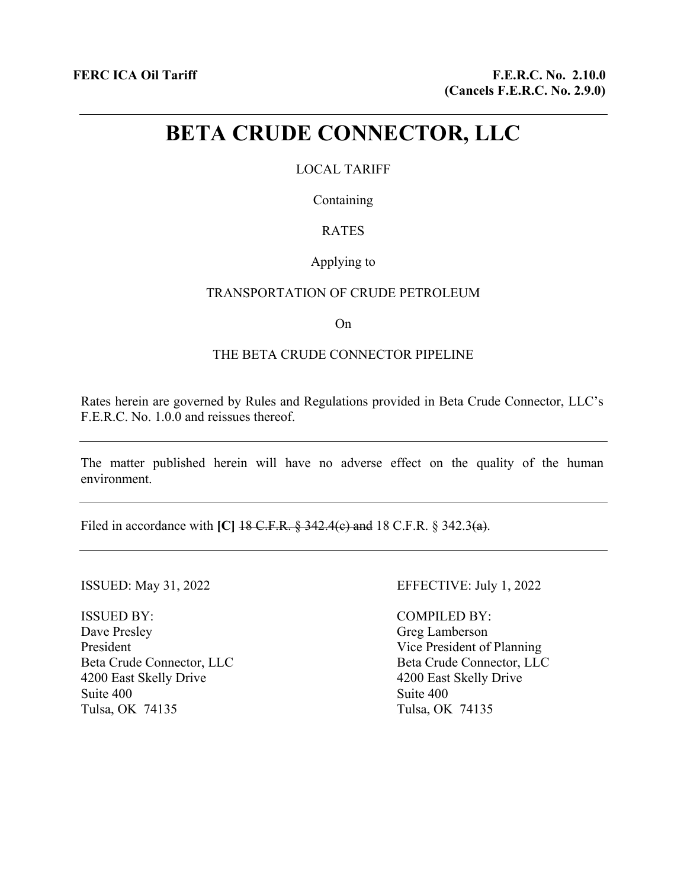# **BETA CRUDE CONNECTOR, LLC**

# LOCAL TARIFF

Containing

# RATES

### Applying to

#### TRANSPORTATION OF CRUDE PETROLEUM

On

## THE BETA CRUDE CONNECTOR PIPELINE

Rates herein are governed by Rules and Regulations provided in Beta Crude Connector, LLC's F.E.R.C. No. 1.0.0 and reissues thereof.

The matter published herein will have no adverse effect on the quality of the human environment.

Filed in accordance with **[C]** 18 C.F.R. § 342.4(c) and 18 C.F.R. § 342.3(a).

ISSUED BY: Dave Presley President Beta Crude Connector, LLC 4200 East Skelly Drive Suite 400 Tulsa, OK 74135

#### ISSUED: May 31, 2022 EFFECTIVE: July 1, 2022

COMPILED BY: Greg Lamberson Vice President of Planning Beta Crude Connector, LLC 4200 East Skelly Drive Suite 400 Tulsa, OK 74135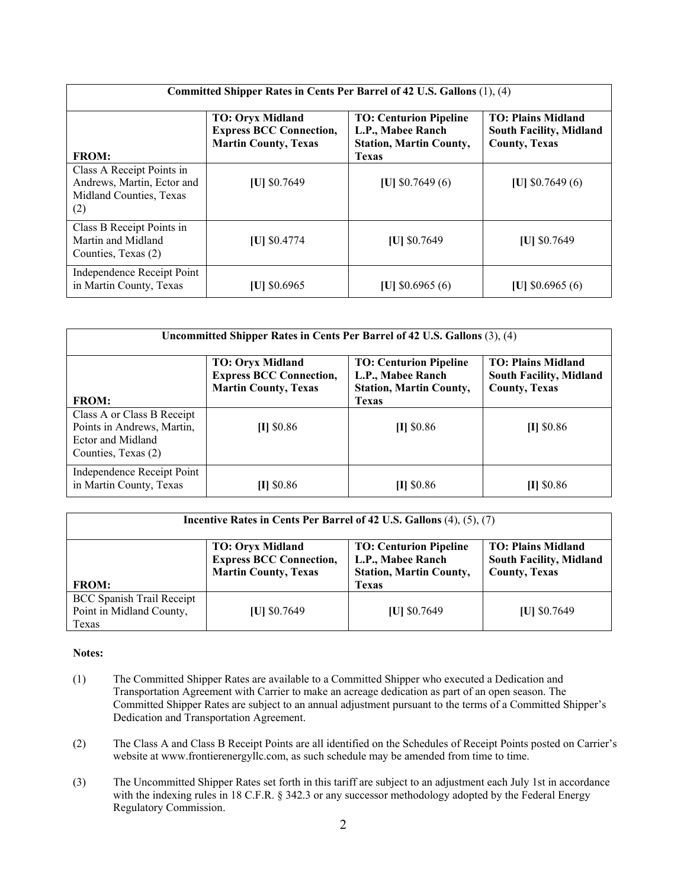| Committed Shipper Rates in Cents Per Barrel of 42 U.S. Gallons (1), (4)                   |                                                                                          |                                                                                                      |                                                                                     |  |  |
|-------------------------------------------------------------------------------------------|------------------------------------------------------------------------------------------|------------------------------------------------------------------------------------------------------|-------------------------------------------------------------------------------------|--|--|
| <b>FROM:</b>                                                                              | <b>TO: Oryx Midland</b><br><b>Express BCC Connection,</b><br><b>Martin County, Texas</b> | <b>TO: Centurion Pipeline</b><br>L.P., Mabee Ranch<br><b>Station, Martin County,</b><br><b>Texas</b> | <b>TO: Plains Midland</b><br><b>South Facility, Midland</b><br><b>County, Texas</b> |  |  |
| Class A Receipt Points in<br>Andrews, Martin, Ector and<br>Midland Counties, Texas<br>(2) | [U] \$0.7649                                                                             | [U] $$0.7649(6)$                                                                                     | [U] $$0.7649(6)$                                                                    |  |  |
| Class B Receipt Points in<br>Martin and Midland<br>Counties, Texas (2)                    | $[U]$ \$0.4774                                                                           | [U] \$0.7649                                                                                         | $ U $ \$0.7649                                                                      |  |  |
| Independence Receipt Point<br>in Martin County, Texas                                     | $ U $ \$0.6965                                                                           | [U] $$0.6965(6)$                                                                                     | [U] $$0.6965(6)$                                                                    |  |  |

| Uncommitted Shipper Rates in Cents Per Barrel of 42 U.S. Gallons (3), (4)                            |                                                                                          |                                                                                                      |                                                                                     |  |  |
|------------------------------------------------------------------------------------------------------|------------------------------------------------------------------------------------------|------------------------------------------------------------------------------------------------------|-------------------------------------------------------------------------------------|--|--|
| <b>FROM:</b>                                                                                         | <b>TO: Oryx Midland</b><br><b>Express BCC Connection,</b><br><b>Martin County, Texas</b> | <b>TO: Centurion Pipeline</b><br>L.P., Mabee Ranch<br><b>Station, Martin County,</b><br><b>Texas</b> | <b>TO: Plains Midland</b><br><b>South Facility, Midland</b><br><b>County, Texas</b> |  |  |
| Class A or Class B Receipt<br>Points in Andrews, Martin,<br>Ector and Midland<br>Counties, Texas (2) | $[1]$ \$0.86                                                                             | $[1]$ \$0.86                                                                                         | $[1]$ \$0.86                                                                        |  |  |
| Independence Receipt Point<br>in Martin County, Texas                                                | $ I $ \$0.86                                                                             | $[1]$ \$0.86                                                                                         | $[1]$ \$0.86                                                                        |  |  |

| Incentive Rates in Cents Per Barrel of 42 U.S. Gallons (4), (5), (7)  |                                                                                          |                                                                                      |                                                                                     |  |  |
|-----------------------------------------------------------------------|------------------------------------------------------------------------------------------|--------------------------------------------------------------------------------------|-------------------------------------------------------------------------------------|--|--|
|                                                                       | <b>TO: Oryx Midland</b><br><b>Express BCC Connection,</b><br><b>Martin County, Texas</b> | <b>TO: Centurion Pipeline</b><br>L.P., Mabee Ranch<br><b>Station, Martin County,</b> | <b>TO: Plains Midland</b><br><b>South Facility, Midland</b><br><b>County, Texas</b> |  |  |
| <b>FROM:</b>                                                          |                                                                                          | <b>Texas</b>                                                                         |                                                                                     |  |  |
| <b>BCC Spanish Trail Receipt</b><br>Point in Midland County,<br>Texas | $ U $ \$0.7649                                                                           | $ U $ \$0.7649                                                                       | $ U $ \$0.7649                                                                      |  |  |

#### **Notes:**

- (1) The Committed Shipper Rates are available to a Committed Shipper who executed a Dedication and Transportation Agreement with Carrier to make an acreage dedication as part of an open season. The Committed Shipper Rates are subject to an annual adjustment pursuant to the terms of a Committed Shipper's Dedication and Transportation Agreement.
- (2) The Class A and Class B Receipt Points are all identified on the Schedules of Receipt Points posted on Carrier's website at www.frontierenergyllc.com, as such schedule may be amended from time to time.
- (3) The Uncommitted Shipper Rates set forth in this tariff are subject to an adjustment each July 1st in accordance with the indexing rules in 18 C.F.R. § 342.3 or any successor methodology adopted by the Federal Energy Regulatory Commission.